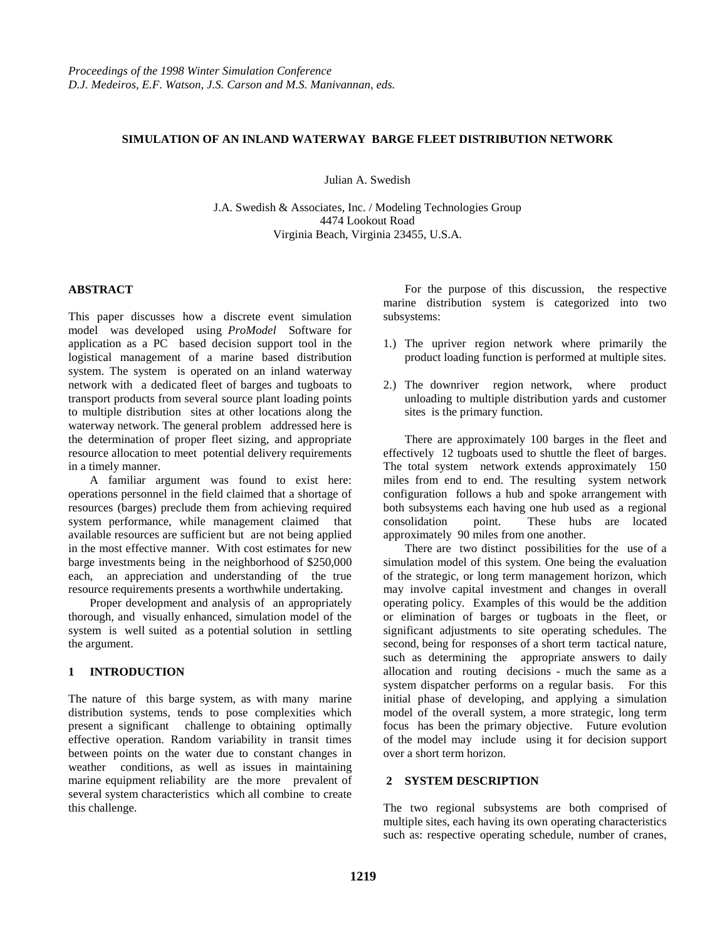# **SIMULATION OF AN INLAND WATERWAY BARGE FLEET DISTRIBUTION NETWORK**

Julian A. Swedish

J.A. Swedish & Associates, Inc. / Modeling Technologies Group 4474 Lookout Road Virginia Beach, Virginia 23455, U.S.A.

#### **ABSTRACT**

This paper discusses how a discrete event simulation model was developed using *ProModel* Software for application as a PC based decision support tool in the logistical management of a marine based distribution system. The system is operated on an inland waterway network with a dedicated fleet of barges and tugboats to transport products from several source plant loading points to multiple distribution sites at other locations along the waterway network. The general problem addressed here is the determination of proper fleet sizing, and appropriate resource allocation to meet potential delivery requirements in a timely manner.

A familiar argument was found to exist here: operations personnel in the field claimed that a shortage of resources (barges) preclude them from achieving required system performance, while management claimed that available resources are sufficient but are not being applied in the most effective manner. With cost estimates for new barge investments being in the neighborhood of \$250,000 each, an appreciation and understanding of the true resource requirements presents a worthwhile undertaking.

Proper development and analysis of an appropriately thorough, and visually enhanced, simulation model of the system is well suited as a potential solution in settling the argument.

# **1 INTRODUCTION**

The nature of this barge system, as with many marine distribution systems, tends to pose complexities which present a significant challenge to obtaining optimally effective operation. Random variability in transit times between points on the water due to constant changes in weather conditions, as well as issues in maintaining marine equipment reliability are the more prevalent of several system characteristics which all combine to create this challenge.

For the purpose of this discussion, the respective marine distribution system is categorized into two subsystems:

- 1.) The upriver region network where primarily the product loading function is performed at multiple sites.
- 2.) The downriver region network, where product unloading to multiple distribution yards and customer sites is the primary function.

There are approximately 100 barges in the fleet and effectively 12 tugboats used to shuttle the fleet of barges. The total system network extends approximately 150 miles from end to end. The resulting system network configuration follows a hub and spoke arrangement with both subsystems each having one hub used as a regional consolidation point. These hubs are located approximately 90 miles from one another.

There are two distinct possibilities for the use of a simulation model of this system. One being the evaluation of the strategic, or long term management horizon, which may involve capital investment and changes in overall operating policy. Examples of this would be the addition or elimination of barges or tugboats in the fleet, or significant adjustments to site operating schedules. The second, being for responses of a short term tactical nature, such as determining the appropriate answers to daily allocation and routing decisions - much the same as a system dispatcher performs on a regular basis. For this initial phase of developing, and applying a simulation model of the overall system, a more strategic, long term focus has been the primary objective. Future evolution of the model may include using it for decision support over a short term horizon.

# **2 SYSTEM DESCRIPTION**

The two regional subsystems are both comprised of multiple sites, each having its own operating characteristics such as: respective operating schedule, number of cranes,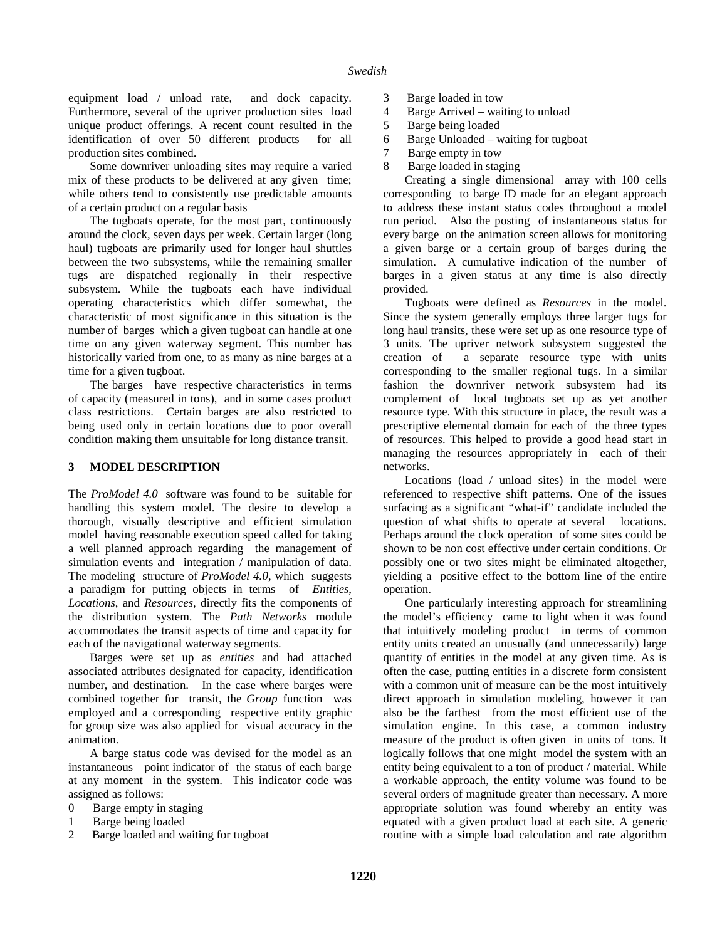equipment load / unload rate, and dock capacity. Furthermore, several of the upriver production sites load unique product offerings. A recent count resulted in the identification of over 50 different products for all production sites combined.

Some downriver unloading sites may require a varied mix of these products to be delivered at any given time; while others tend to consistently use predictable amounts of a certain product on a regular basis

The tugboats operate, for the most part, continuously around the clock, seven days per week. Certain larger (long haul) tugboats are primarily used for longer haul shuttles between the two subsystems, while the remaining smaller tugs are dispatched regionally in their respective subsystem. While the tugboats each have individual operating characteristics which differ somewhat, the characteristic of most significance in this situation is the number of barges which a given tugboat can handle at one time on any given waterway segment. This number has historically varied from one, to as many as nine barges at a time for a given tugboat.

The barges have respective characteristics in terms of capacity (measured in tons), and in some cases product class restrictions. Certain barges are also restricted to being used only in certain locations due to poor overall condition making them unsuitable for long distance transit.

#### **3 MODEL DESCRIPTION**

The *ProModel 4.0* software was found to be suitable for handling this system model. The desire to develop a thorough, visually descriptive and efficient simulation model having reasonable execution speed called for taking a well planned approach regarding the management of simulation events and integration / manipulation of data. The modeling structure of *ProModel 4.0*, which suggests a paradigm for putting objects in terms of *Entities*, *Locations*, and *Resources*, directly fits the components of the distribution system. The *Path Networks* module accommodates the transit aspects of time and capacity for each of the navigational waterway segments.

Barges were set up as *entities* and had attached associated attributes designated for capacity, identification number, and destination. In the case where barges were combined together for transit, the *Group* function was employed and a corresponding respective entity graphic for group size was also applied for visual accuracy in the animation.

A barge status code was devised for the model as an instantaneous point indicator of the status of each barge at any moment in the system. This indicator code was assigned as follows:

- 0 Barge empty in staging
- 1 Barge being loaded
- 2 Barge loaded and waiting for tugboat
- 3 Barge loaded in tow
- 4 Barge Arrived waiting to unload
- 5 Barge being loaded
- 6 Barge Unloaded waiting for tugboat
- 7 Barge empty in tow
- 8 Barge loaded in staging

Creating a single dimensional array with 100 cells corresponding to barge ID made for an elegant approach to address these instant status codes throughout a model run period. Also the posting of instantaneous status for every barge on the animation screen allows for monitoring a given barge or a certain group of barges during the simulation. A cumulative indication of the number of barges in a given status at any time is also directly provided.

Tugboats were defined as *Resources* in the model. Since the system generally employs three larger tugs for long haul transits, these were set up as one resource type of 3 units. The upriver network subsystem suggested the creation of a separate resource type with units corresponding to the smaller regional tugs. In a similar fashion the downriver network subsystem had its complement of local tugboats set up as yet another resource type. With this structure in place, the result was a prescriptive elemental domain for each of the three types of resources. This helped to provide a good head start in managing the resources appropriately in each of their networks.

Locations (load / unload sites) in the model were referenced to respective shift patterns. One of the issues surfacing as a significant "what-if" candidate included the question of what shifts to operate at several locations. Perhaps around the clock operation of some sites could be shown to be non cost effective under certain conditions. Or possibly one or two sites might be eliminated altogether, yielding a positive effect to the bottom line of the entire operation.

One particularly interesting approach for streamlining the model's efficiency came to light when it was found that intuitively modeling product in terms of common entity units created an unusually (and unnecessarily) large quantity of entities in the model at any given time. As is often the case, putting entities in a discrete form consistent with a common unit of measure can be the most intuitively direct approach in simulation modeling, however it can also be the farthest from the most efficient use of the simulation engine. In this case, a common industry measure of the product is often given in units of tons. It logically follows that one might model the system with an entity being equivalent to a ton of product / material. While a workable approach, the entity volume was found to be several orders of magnitude greater than necessary. A more appropriate solution was found whereby an entity was equated with a given product load at each site. A generic routine with a simple load calculation and rate algorithm